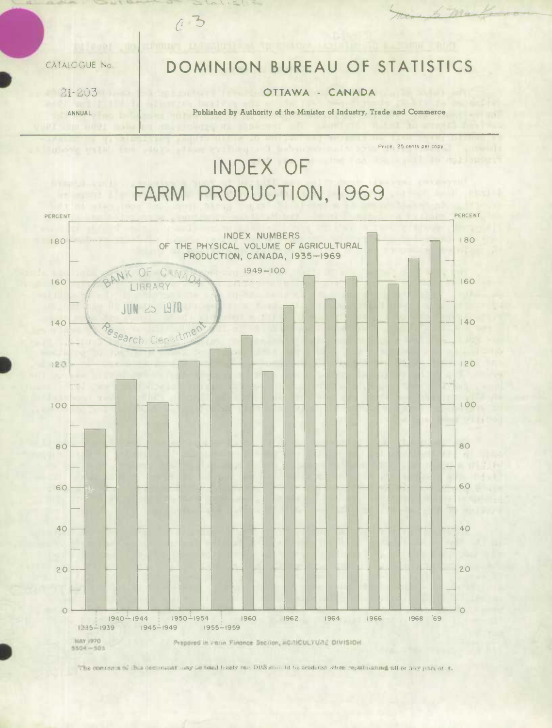CATALOGUE No

 $21 - 203$ 

ANNUAL

## DOMINION BUREAU OF STATISTICS

 $\lambda$  may

Price: 25 cents per copy

## OTTAWA - CANADA

Published by Authority of the Minister of Industry, Trade and Commerce

INDEX OF FARM PRODUCTION, 1969

 $0.3$ 



The concess of this demonstrationary is toted freely but DBS should be acedited when republishing all or any pack of it.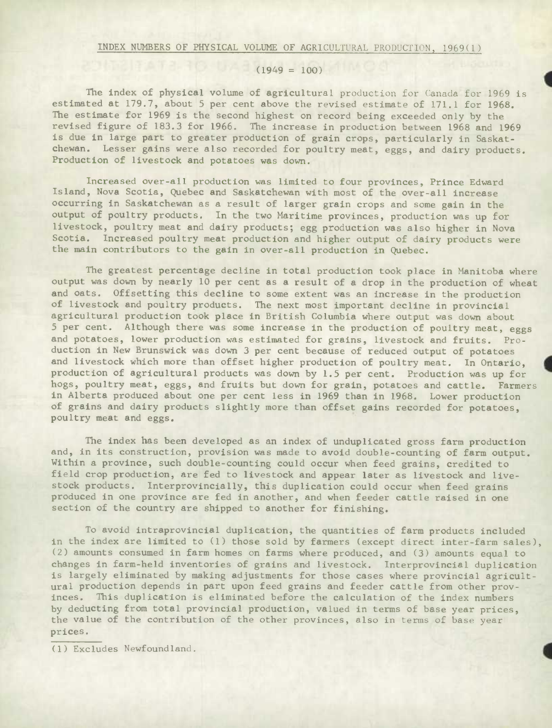## $(1949 = 100)$

The index of physical volume of agricultural production for Canada for 1969 is estimated at 179.7, about 5 per cent above the revised estimate of 171.1 for 1968. The estimate for 1969 is the second highest on record being exceeded only by the revised figure of 183.3 for 1966. The increase in production between 1968 and 1969 is due in large part to greater production of grain crops, particularly in Saskatchewan. Lesser gains were also recorded for poultry meat, eggs, and dairy products. Production of livestock and potatoes was down.

Increased over-all production was limited to four provinces, Prince Edward Island, Nova Scotia, Quebec and Saskatchewan with most of the over-all increase occurring in Saskatchewan as a result of larger grain crops and some gain **in** the output of poultry products. In the two Maritime provinces, production was up for livestock, poultry meat and dairy products; egg production was also higher in Nova Scotia. Increased poultry meat production and higher output of dairy products were the main contributors to the gain in over-all production in Quebec.

The greatest percentage decline in total production took place in Manitoba where output was down by nearly 10 per cent as a result of a drop in the production of wheat and oats. Offsetting this decline to some extent was an increase in the production of livestock and poultry products. The next most important decline in provincial agricultural production took place in British Columbia where output was down about 5 per cent. Although there was some increase in the production of poultry meat, eggs and potatoes, lower production was estimated for grains, livestock and fruits. Production in New Brunswick was down 3 per cent because of reduced output of potatoes and livestock which more than offset higher production of poultry meat. In Ontario, production of agricultural products was down by 1.5 per cent. Production was up for hogs, poultry meat, eggs, and fruits but down for grain, potatoes and cattle. Farmers in Alberta produced about one per cent less in 1969 than in 1968. Lower production of grains and dairy products slightly more than offset gains recorded for potatoes, poultry meat and eggs.

The index has been developed as an index of unduplicated gross farm production and, in its construction, provision was made to avoid double-counting of farm output. Within a province, such double-counting could occur when feed grains, credited to field crop production, are fed to livestock and appear later as livestock and livestock products. Interprovincially, this duplication could occur when feed grains produced in one province are fed in another, and when feeder cattle raised in one section of the country are shipped to another for finishing.

To avoid intraprovincial duplication, the quantities of farm products included in the index are limited to (1) those sold by farmers (except direct inter-farm sales), (2) amounts consumed in farm homes on farms where produced, and (3) amounts equal to changes in farm-held inventories of grains and livestock. Interprovincial duplication is largely eliminated by making adjustments for those cases where provincial agricultural production depends in part upon feed grains and feeder cattle from other provinces. This duplication is eliminated before the calculation of the index numbers by deducting from total provincial production, valued in terms of base year prices, the value of the contribution of the other provinces, also in terms of base year prices.

(1) Excludes Newfoundland.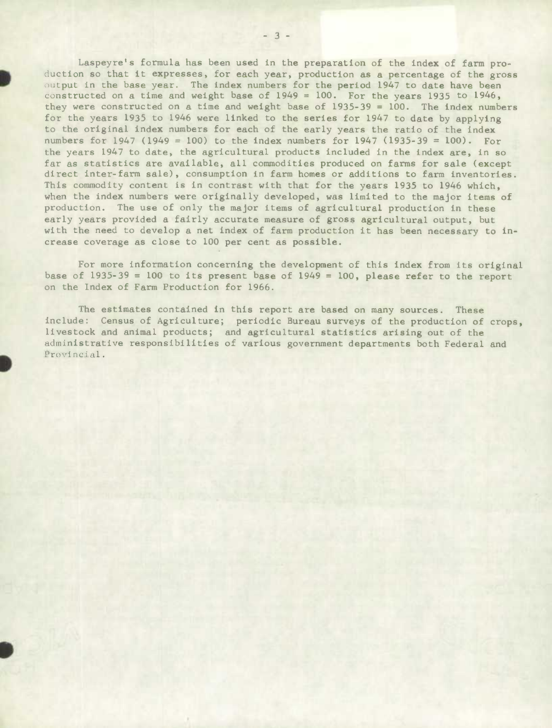Laspeyre's formula has been used in the preparation of the index of farm pro duction so that it expresses, for each year, production as a percentage of the gross output in the base year. The index numbers for the period 1947 to date have been constructed on a time and weight base of 1949 = 100. For the years 1935 to 1946, they were constructed on a time and weight base of 1935-39 = 100. The index numbers for the years 1935 to 1946 were linked to the series for 1947 to date by applying to the original index numbers for each of the early years the ratio of the index numbers for 1947 (1949 = 100) to the index numbers for 1947 (1935-39 = 100). For the years 1947 to date, the agricultural products included in the index are, in so far as statistics are available, all commodities produced on farms for sale (except direct inter-farm sale), consumption in farm homes or additions to farm inventories. This commodity content is in contrast with that for the years 1935 to 1946 which, when the index numbers were originally developed, was limited to the major items of production. The use of only the major items of agricultural production **in these**  early years provided a fairly accurate measure of gross agricultural output, but with the need to develop a net index of farm production it has been necessary to increase coverage as close to 100 per cent as possible.

For more information concerning the development of this index from its original base of  $1935-39 = 100$  to its present base of  $1949 = 100$ , please refer to the report on the Index of Farm Production for 1966.

The estimates contained in this report are based on many sources. These include: Census of Agriculture; periodic Bureau surveys of the production of crops, livestock and animal products; and agricultural statistics arising out of the administrative responsibilities of various government departments both Federal and Provincial.